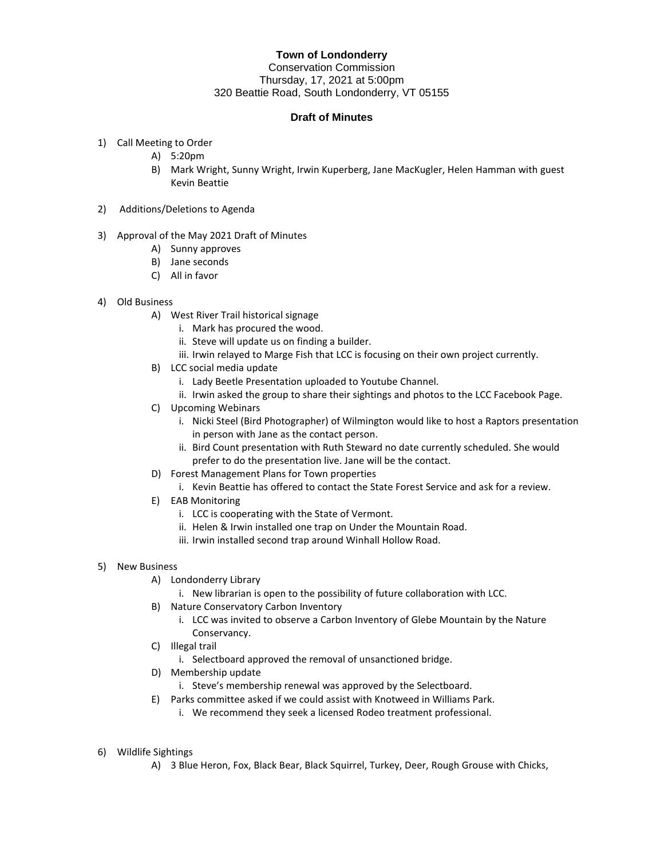## **Town of Londonderry**

Conservation Commission Thursday, 17, 2021 at 5:00pm 320 Beattie Road, South Londonderry, VT 05155

## **Draft of Minutes**

- 1) Call Meeting to Order
	- A) 5:20pm
	- B) Mark Wright, Sunny Wright, Irwin Kuperberg, Jane MacKugler, Helen Hamman with guest Kevin Beattie
- 2) Additions/Deletions to Agenda
- 3) Approval of the May 2021 Draft of Minutes
	- A) Sunny approves
	- B) Jane seconds
	- C) All in favor
- 4) Old Business
	- A) West River Trail historical signage
		- i. Mark has procured the wood.
		- ii. Steve will update us on finding a builder.
		- iii. Irwin relayed to Marge Fish that LCC is focusing on their own project currently.
	- B) LCC social media update
		- i. Lady Beetle Presentation uploaded to Youtube Channel.
		- ii. Irwin asked the group to share their sightings and photos to the LCC Facebook Page.
	- C) Upcoming Webinars
		- i. Nicki Steel (Bird Photographer) of Wilmington would like to host a Raptors presentation in person with Jane as the contact person.
		- ii. Bird Count presentation with Ruth Steward no date currently scheduled. She would prefer to do the presentation live. Jane will be the contact.
	- D) Forest Management Plans for Town properties
		- i. Kevin Beattie has offered to contact the State Forest Service and ask for a review.
	- E) EAB Monitoring
		- i. LCC is cooperating with the State of Vermont.
		- ii. Helen & Irwin installed one trap on Under the Mountain Road.
		- iii. Irwin installed second trap around Winhall Hollow Road.
- 5) New Business
	- A) Londonderry Library
		- i. New librarian is open to the possibility of future collaboration with LCC.
	- B) Nature Conservatory Carbon Inventory
		- i. LCC was invited to observe a Carbon Inventory of Glebe Mountain by the Nature Conservancy.
	- C) Illegal trail
		- i. Selectboard approved the removal of unsanctioned bridge.
	- D) Membership update
		- i. Steve's membership renewal was approved by the Selectboard.
	- E) Parks committee asked if we could assist with Knotweed in Williams Park.
		- i. We recommend they seek a licensed Rodeo treatment professional.
- 6) Wildlife Sightings
	- A) 3 Blue Heron, Fox, Black Bear, Black Squirrel, Turkey, Deer, Rough Grouse with Chicks,